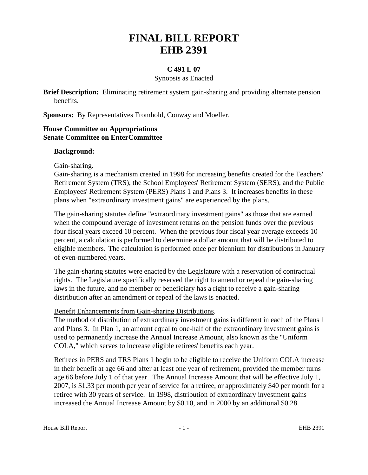# **FINAL BILL REPORT EHB 2391**

## **C 491 L 07**

#### Synopsis as Enacted

**Brief Description:** Eliminating retirement system gain-sharing and providing alternate pension benefits.

**Sponsors:** By Representatives Fromhold, Conway and Moeller.

#### **House Committee on Appropriations Senate Committee on EnterCommittee**

#### **Background:**

Gain-sharing.

Gain-sharing is a mechanism created in 1998 for increasing benefits created for the Teachers' Retirement System (TRS), the School Employees' Retirement System (SERS), and the Public Employees' Retirement System (PERS) Plans 1 and Plans 3. It increases benefits in these plans when "extraordinary investment gains" are experienced by the plans.

The gain-sharing statutes define "extraordinary investment gains" as those that are earned when the compound average of investment returns on the pension funds over the previous four fiscal years exceed 10 percent. When the previous four fiscal year average exceeds 10 percent, a calculation is performed to determine a dollar amount that will be distributed to eligible members. The calculation is performed once per biennium for distributions in January of even-numbered years.

The gain-sharing statutes were enacted by the Legislature with a reservation of contractual rights. The Legislature specifically reserved the right to amend or repeal the gain-sharing laws in the future, and no member or beneficiary has a right to receive a gain-sharing distribution after an amendment or repeal of the laws is enacted.

## Benefit Enhancements from Gain-sharing Distributions.

The method of distribution of extraordinary investment gains is different in each of the Plans 1 and Plans 3. In Plan 1, an amount equal to one-half of the extraordinary investment gains is used to permanently increase the Annual Increase Amount, also known as the "Uniform COLA," which serves to increase eligible retirees' benefits each year.

Retirees in PERS and TRS Plans 1 begin to be eligible to receive the Uniform COLA increase in their benefit at age 66 and after at least one year of retirement, provided the member turns age 66 before July 1 of that year. The Annual Increase Amount that will be effective July 1, 2007, is \$1.33 per month per year of service for a retiree, or approximately \$40 per month for a retiree with 30 years of service. In 1998, distribution of extraordinary investment gains increased the Annual Increase Amount by \$0.10, and in 2000 by an additional \$0.28.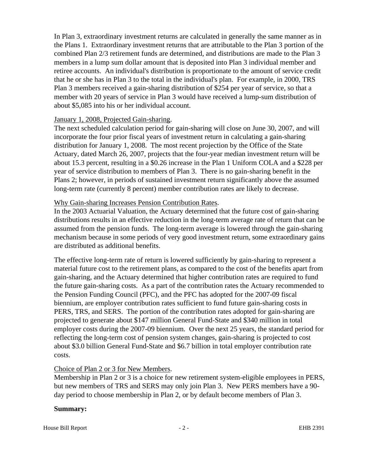In Plan 3, extraordinary investment returns are calculated in generally the same manner as in the Plans 1. Extraordinary investment returns that are attributable to the Plan 3 portion of the combined Plan 2/3 retirement funds are determined, and distributions are made to the Plan 3 members in a lump sum dollar amount that is deposited into Plan 3 individual member and retiree accounts. An individual's distribution is proportionate to the amount of service credit that he or she has in Plan 3 to the total in the individual's plan. For example, in 2000, TRS Plan 3 members received a gain-sharing distribution of \$254 per year of service, so that a member with 20 years of service in Plan 3 would have received a lump-sum distribution of about \$5,085 into his or her individual account.

#### January 1, 2008, Projected Gain-sharing.

The next scheduled calculation period for gain-sharing will close on June 30, 2007, and will incorporate the four prior fiscal years of investment return in calculating a gain-sharing distribution for January 1, 2008. The most recent projection by the Office of the State Actuary, dated March 26, 2007, projects that the four-year median investment return will be about 15.3 percent, resulting in a \$0.26 increase in the Plan 1 Uniform COLA and a \$228 per year of service distribution to members of Plan 3. There is no gain-sharing benefit in the Plans 2; however, in periods of sustained investment return significantly above the assumed long-term rate (currently 8 percent) member contribution rates are likely to decrease.

#### Why Gain-sharing Increases Pension Contribution Rates.

In the 2003 Actuarial Valuation, the Actuary determined that the future cost of gain-sharing distributions results in an effective reduction in the long-term average rate of return that can be assumed from the pension funds. The long-term average is lowered through the gain-sharing mechanism because in some periods of very good investment return, some extraordinary gains are distributed as additional benefits.

The effective long-term rate of return is lowered sufficiently by gain-sharing to represent a material future cost to the retirement plans, as compared to the cost of the benefits apart from gain-sharing, and the Actuary determined that higher contribution rates are required to fund the future gain-sharing costs. As a part of the contribution rates the Actuary recommended to the Pension Funding Council (PFC), and the PFC has adopted for the 2007-09 fiscal biennium, are employer contribution rates sufficient to fund future gain-sharing costs in PERS, TRS, and SERS. The portion of the contribution rates adopted for gain-sharing are projected to generate about \$147 million General Fund-State and \$340 million in total employer costs during the 2007-09 biennium. Over the next 25 years, the standard period for reflecting the long-term cost of pension system changes, gain-sharing is projected to cost about \$3.0 billion General Fund-State and \$6.7 billion in total employer contribution rate costs.

## Choice of Plan 2 or 3 for New Members.

Membership in Plan 2 or 3 is a choice for new retirement system-eligible employees in PERS, but new members of TRS and SERS may only join Plan 3. New PERS members have a 90 day period to choose membership in Plan 2, or by default become members of Plan 3.

#### **Summary:**